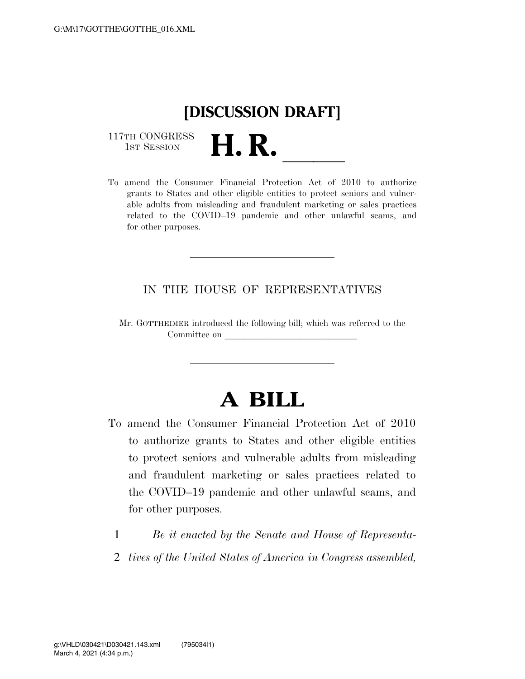## **[DISCUSSION DRAFT]**

117TH CONGRESS<br>1st Session

117TH CONGRESS<br>1st SESSION **H. R.** <u>Indices of 2010</u> to authorize grants to States and other eligible entities to protect seniors and vulnerable adults from misleading and fraudulent marketing or sales practices related to the COVID–19 pandemic and other unlawful scams, and for other purposes.

## IN THE HOUSE OF REPRESENTATIVES

Mr. GOTTHEIMER introduced the following bill; which was referred to the Committee on

## **A BILL**

To amend the Consumer Financial Protection Act of 2010 to authorize grants to States and other eligible entities to protect seniors and vulnerable adults from misleading and fraudulent marketing or sales practices related to the COVID–19 pandemic and other unlawful scams, and for other purposes.

1 *Be it enacted by the Senate and House of Representa-*2 *tives of the United States of America in Congress assembled,*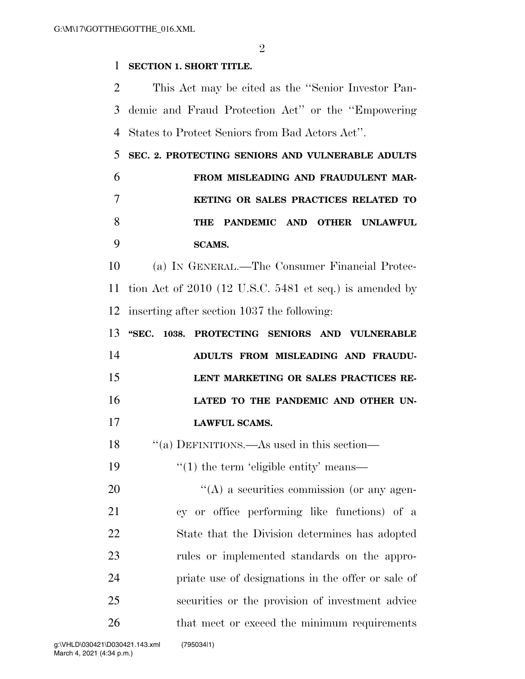$\mathfrak{D}$ 

## **SECTION 1. SHORT TITLE.**

 This Act may be cited as the ''Senior Investor Pan- demic and Fraud Protection Act'' or the ''Empowering States to Protect Seniors from Bad Actors Act''.

 **SEC. 2. PROTECTING SENIORS AND VULNERABLE ADULTS FROM MISLEADING AND FRAUDULENT MAR- KETING OR SALES PRACTICES RELATED TO THE PANDEMIC AND OTHER UNLAWFUL SCAMS.** 

 (a) IN GENERAL.—The Consumer Financial Protec- tion Act of 2010 (12 U.S.C. 5481 et seq.) is amended by inserting after section 1037 the following:

|    |  | 13 "SEC. 1038. PROTECTING SENIORS AND VULNERABLE |
|----|--|--------------------------------------------------|
| 14 |  | ADULTS FROM MISLEADING AND FRAUDU-               |
| 15 |  | LENT MARKETING OR SALES PRACTICES RE-            |
| 16 |  | LATED TO THE PANDEMIC AND OTHER UN-              |
| 17 |  | <b>LAWFUL SCAMS.</b>                             |

''(a) DEFINITIONS.—As used in this section—

19  $\frac{1}{2}$  (1) the term 'eligible entity' means—

 $\langle (A)$  a securities commission (or any agen- cy or office performing like functions) of a State that the Division determines has adopted rules or implemented standards on the appro- priate use of designations in the offer or sale of securities or the provision of investment advice 26 that meet or exceed the minimum requirements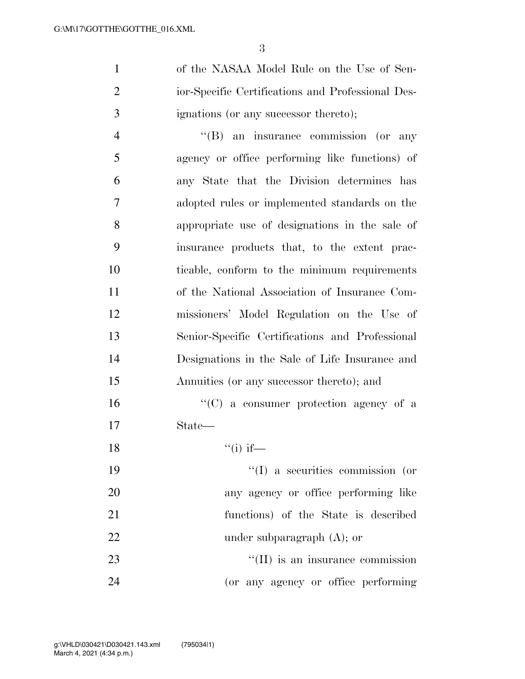of the NASAA Model Rule on the Use of Sen- ior-Specific Certifications and Professional Des-ignations (or any successor thereto);

 ''(B) an insurance commission (or any agency or office performing like functions) of any State that the Division determines has adopted rules or implemented standards on the appropriate use of designations in the sale of insurance products that, to the extent prac- ticable, conform to the minimum requirements of the National Association of Insurance Com- missioners' Model Regulation on the Use of Senior-Specific Certifications and Professional Designations in the Sale of Life Insurance and Annuities (or any successor thereto); and

16  $\lq\lq$  (C) a consumer protection agency of a State—

18  $"(i)$  if—

 $\frac{1}{2}$  a securities commission (or any agency or office performing like functions) of the State is described 22 under subparagraph (A); or 23 ''(II) is an insurance commission (or any agency or office performing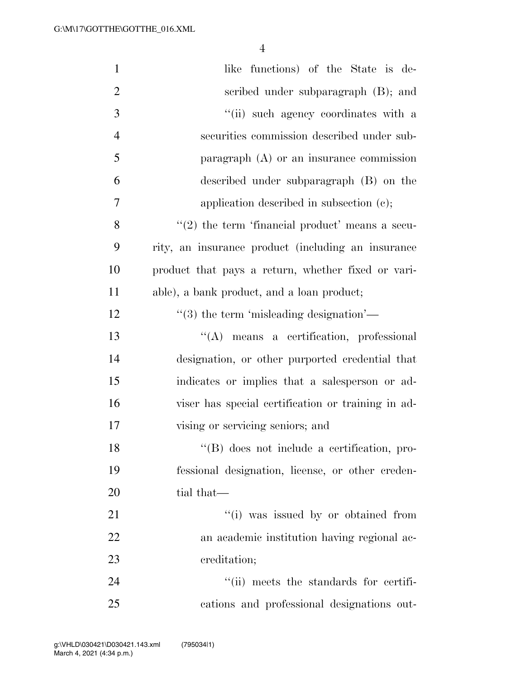| $\mathbf{1}$   | like functions) of the State is de-                 |
|----------------|-----------------------------------------------------|
| $\overline{2}$ | scribed under subparagraph (B); and                 |
| 3              | "(ii) such agency coordinates with a                |
| $\overline{4}$ | securities commission described under sub-          |
| 5              | paragraph $(A)$ or an insurance commission          |
| 6              | described under subparagraph (B) on the             |
| 7              | application described in subsection $(c)$ ;         |
| 8              | $\lq(2)$ the term 'financial product' means a secu- |
| 9              | rity, an insurance product (including an insurance  |
| 10             | product that pays a return, whether fixed or vari-  |
| 11             | able), a bank product, and a loan product;          |
| 12             | $\lq(3)$ the term 'misleading designation'—         |
| 13             | "(A) means a certification, professional            |
| 14             | designation, or other purported credential that     |
| 15             | indicates or implies that a salesperson or ad-      |
| 16             | viser has special certification or training in ad-  |
| 17             | vising or servicing seniors; and                    |
| 18             | "(B) does not include a certification, pro-         |
| 19             | fessional designation, license, or other creden-    |
| 20             | tial that—                                          |
| 21             | "(i) was issued by or obtained from                 |
| 22             | an academic institution having regional ac-         |
| 23             | creditation;                                        |
| 24             | "(ii) meets the standards for certifi-              |
| 25             | cations and professional designations out-          |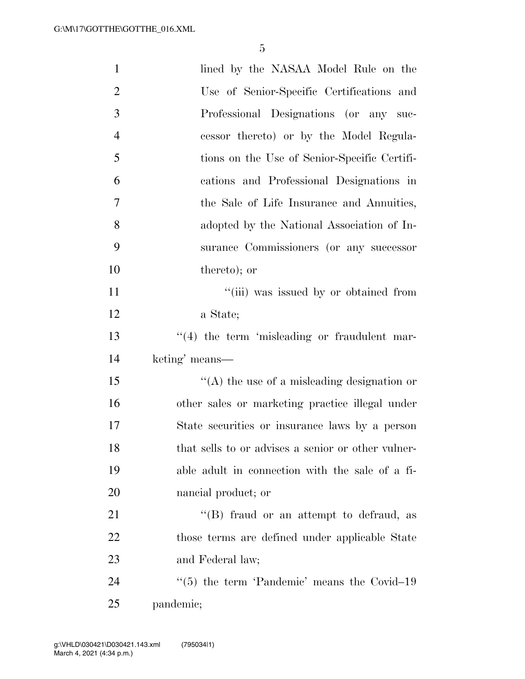| $\mathbf{1}$   | lined by the NASAA Model Rule on the                    |
|----------------|---------------------------------------------------------|
| $\overline{2}$ | Use of Senior-Specific Certifications and               |
| 3              | Professional Designations (or any suc-                  |
| $\overline{4}$ | cessor thereto) or by the Model Regula-                 |
| 5              | tions on the Use of Senior-Specific Certifi-            |
| 6              | cations and Professional Designations in                |
| 7              | the Sale of Life Insurance and Annuities,               |
| 8              | adopted by the National Association of In-              |
| 9              | surance Commissioners (or any successor                 |
| 10             | thereto); or                                            |
| 11             | "(iii) was issued by or obtained from                   |
| 12             | a State;                                                |
| 13             | $\lq(4)$ the term 'misleading or fraudulent mar-        |
| 14             | keting' means—                                          |
| 15             | $\lq\lq$ the use of a misleading designation or         |
| 16             | other sales or marketing practice illegal under         |
| 17             | State securities or insurance laws by a person          |
| 18             | that sells to or advises a senior or other vulner-      |
| 19             | able adult in connection with the sale of a fi-         |
| 20             | nancial product; or                                     |
| 21             | $\lq\lq (B)$ fraud or an attempt to defraud, as         |
| 22             | those terms are defined under applicable State          |
| 23             | and Federal law;                                        |
| 24             | $\cdot\cdot$ (5) the term 'Pandemic' means the Covid-19 |
| 25             | pandemic;                                               |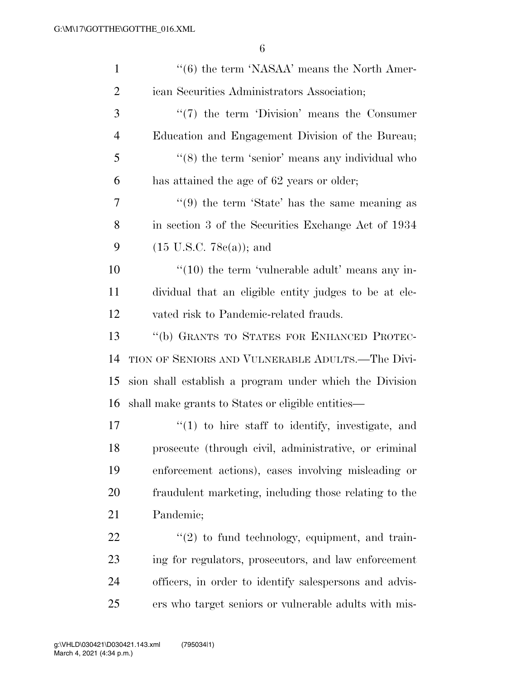| $\mathbf{1}$   | $\cdot\cdot$ (6) the term 'NASAA' means the North Amer-     |
|----------------|-------------------------------------------------------------|
| $\overline{2}$ | ican Securities Administrators Association;                 |
| 3              | $\lq(7)$ the term 'Division' means the Consumer             |
| 4              | Education and Engagement Division of the Bureau;            |
| 5              | $\cdot\cdot$ (8) the term 'senior' means any individual who |
| 6              | has attained the age of 62 years or older;                  |
| 7              | $\lq(9)$ the term 'State' has the same meaning as           |
| 8              | in section 3 of the Securities Exchange Act of 1934         |
| 9              | $(15 \text{ U.S.C. } 78c(a))$ ; and                         |
| 10             | $\cdot\cdot(10)$ the term 'vulnerable adult' means any in-  |
| 11             | dividual that an eligible entity judges to be at ele-       |
| 12             | vated risk to Pandemic-related frauds.                      |
| 13             | "(b) GRANTS TO STATES FOR ENHANCED PROTEC-                  |
| 14             | TION OF SENIORS AND VULNERABLE ADULTS.—The Divi-            |
| 15             | sion shall establish a program under which the Division     |
| 16             | shall make grants to States or eligible entities—           |
| 17             | $f'(1)$ to hire staff to identify, investigate, and         |
| 18             | prosecute (through civil, administrative, or criminal       |
| 19             | enforcement actions), cases involving misleading or         |
| 20             | fraudulent marketing, including those relating to the       |
| 21             | Pandemic;                                                   |
| 22             | $\lq(2)$ to fund technology, equipment, and train-          |
| 23             | ing for regulators, prosecutors, and law enforcement        |
| 24             | officers, in order to identify salespersons and advis-      |
| 25             | ers who target seniors or vulnerable adults with mis-       |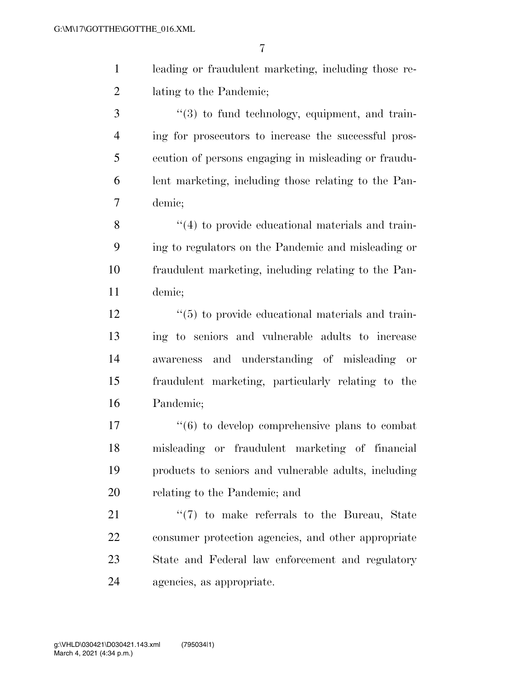| leading or fraudulent marketing, including those re- |
|------------------------------------------------------|
| lating to the Pandemic;                              |

3 ''(3) to fund technology, equipment, and train- ing for prosecutors to increase the successful pros- ecution of persons engaging in misleading or fraudu- lent marketing, including those relating to the Pan-demic;

8 ''(4) to provide educational materials and train- ing to regulators on the Pandemic and misleading or fraudulent marketing, including relating to the Pan-demic;

12 ''(5) to provide educational materials and train- ing to seniors and vulnerable adults to increase awareness and understanding of misleading or fraudulent marketing, particularly relating to the Pandemic;

 $\frac{17}{6}$  to develop comprehensive plans to combat misleading or fraudulent marketing of financial products to seniors and vulnerable adults, including relating to the Pandemic; and

21 ''(7) to make referrals to the Bureau, State consumer protection agencies, and other appropriate State and Federal law enforcement and regulatory agencies, as appropriate.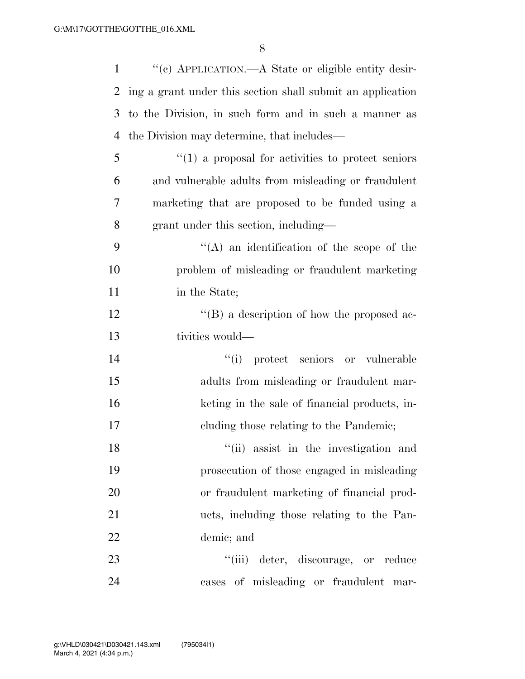| $\mathbf{1}$ | "(c) APPLICATION.—A State or eligible entity desir-        |
|--------------|------------------------------------------------------------|
| 2            | ing a grant under this section shall submit an application |
| 3            | to the Division, in such form and in such a manner as      |
| 4            | the Division may determine, that includes—                 |
| 5            | $\cdot$ (1) a proposal for activities to protect seniors   |
| 6            | and vulnerable adults from misleading or fraudulent        |
| 7            | marketing that are proposed to be funded using a           |
| 8            | grant under this section, including—                       |
| 9            | $\lq\lq$ an identification of the scope of the             |
| 10           | problem of misleading or fraudulent marketing              |
| 11           | in the State;                                              |
| 12           | $\lq\lq (B)$ a description of how the proposed ac-         |
| 13           | tivities would—                                            |
| 14           | "(i) protect seniors or vulnerable                         |
| 15           | adults from misleading or fraudulent mar-                  |
| 16           | keting in the sale of financial products, in-              |
| 17           | cluding those relating to the Pandemic;                    |
| 18           | "(ii) assist in the investigation and                      |
| 19           | prosecution of those engaged in misleading                 |
| 20           | or fraudulent marketing of financial prod-                 |
| 21           | ucts, including those relating to the Pan-                 |
| 22           | demic; and                                                 |
| 23           | "(iii) deter, discourage, or reduce                        |
| 24           | cases of misleading or fraudulent mar-                     |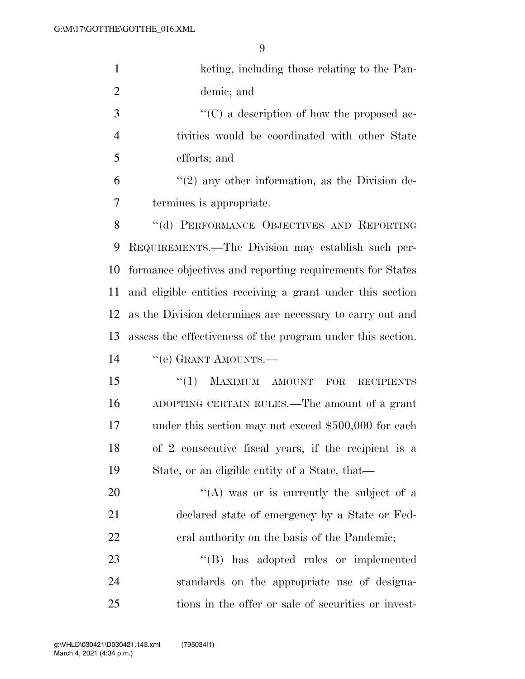| $\mathbf{1}$   | keting, including those relating to the Pan-                |
|----------------|-------------------------------------------------------------|
| $\overline{2}$ | demic; and                                                  |
| 3              | $\lq\lq$ (C) a description of how the proposed ac-          |
| $\overline{4}$ | tivities would be coordinated with other State              |
| 5              | efforts; and                                                |
| 6              | $\lq(2)$ any other information, as the Division de-         |
| 7              | termines is appropriate.                                    |
| 8              | "(d) PERFORMANCE OBJECTIVES AND REPORTING                   |
| 9              | REQUIREMENTS.—The Division may establish such per-          |
| 10             | formance objectives and reporting requirements for States   |
| 11             | and eligible entities receiving a grant under this section  |
| 12             | as the Division determines are necessary to carry out and   |
| 13             | assess the effectiveness of the program under this section. |
| 14             | "(e) GRANT AMOUNTS.—                                        |
| 15             | MAXIMUM AMOUNT<br>``(1)<br>FOR<br><b>RECIPIENTS</b>         |
| 16             | ADOPTING CERTAIN RULES.—The amount of a grant               |
| 17             | under this section may not exceed \$500,000 for each        |
| 18             | of 2 consecutive fiscal years, if the recipient is a        |
| 19             | State, or an eligible entity of a State, that—              |
| 20             | "(A) was or is currently the subject of a                   |
| 21             | declared state of emergency by a State or Fed-              |
| 22             | eral authority on the basis of the Pandemic;                |
| 23             | $\lq\lq (B)$<br>has adopted rules or implemented            |
| 24             | standards on the appropriate use of designa-                |
| 25             | tions in the offer or sale of securities or invest-         |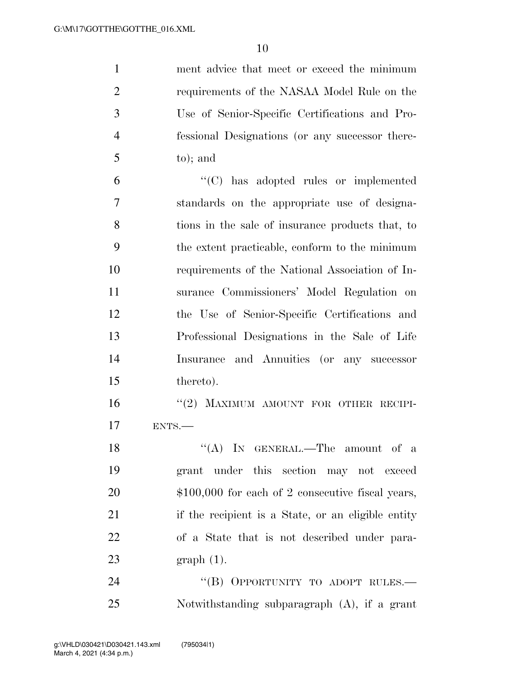ment advice that meet or exceed the minimum requirements of the NASAA Model Rule on the Use of Senior-Specific Certifications and Pro- fessional Designations (or any successor there-to); and

 ''(C) has adopted rules or implemented standards on the appropriate use of designa- tions in the sale of insurance products that, to the extent practicable, conform to the minimum requirements of the National Association of In- surance Commissioners' Model Regulation on the Use of Senior-Specific Certifications and Professional Designations in the Sale of Life Insurance and Annuities (or any successor thereto).

16 "(2) MAXIMUM AMOUNT FOR OTHER RECIPI-ENTS.—

18 "(A) IN GENERAL.—The amount of a grant under this section may not exceed 20 \$100,000 for each of 2 consecutive fiscal years, if the recipient is a State, or an eligible entity of a State that is not described under para-graph (1).

24 "(B) OPPORTUNITY TO ADOPT RULES.— Notwithstanding subparagraph (A), if a grant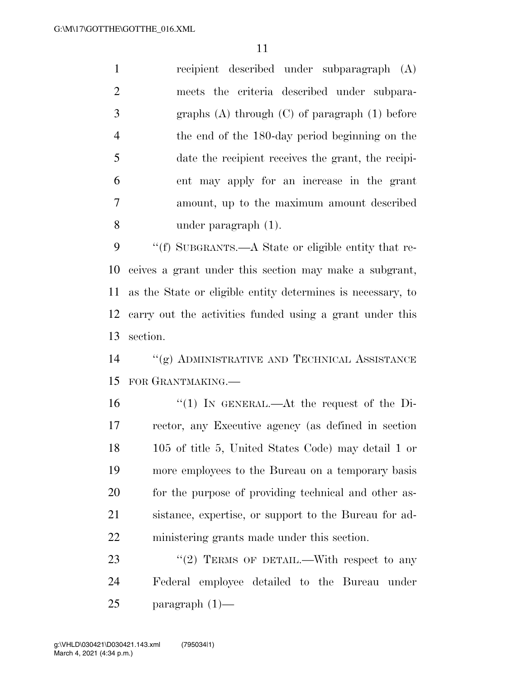recipient described under subparagraph (A) meets the criteria described under subpara- graphs (A) through (C) of paragraph (1) before the end of the 180-day period beginning on the date the recipient receives the grant, the recipi- ent may apply for an increase in the grant amount, up to the maximum amount described under paragraph (1).

 ''(f) SUBGRANTS.—A State or eligible entity that re- ceives a grant under this section may make a subgrant, as the State or eligible entity determines is necessary, to carry out the activities funded using a grant under this section.

 ''(g) ADMINISTRATIVE AND TECHNICAL ASSISTANCE FOR GRANTMAKING.—

 ''(1) IN GENERAL.—At the request of the Di- rector, any Executive agency (as defined in section 105 of title 5, United States Code) may detail 1 or more employees to the Bureau on a temporary basis for the purpose of providing technical and other as- sistance, expertise, or support to the Bureau for ad-ministering grants made under this section.

23  $\frac{1}{2}$  TERMS OF DETAIL.—With respect to any Federal employee detailed to the Bureau under paragraph (1)—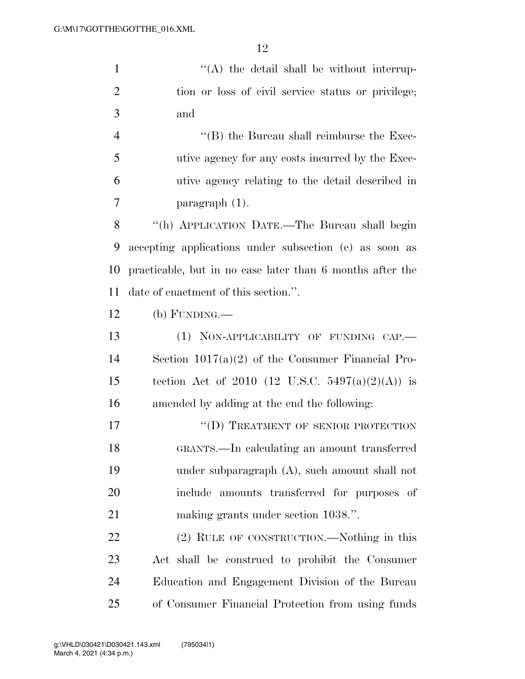1 ''(A) the detail shall be without interrup- tion or loss of civil service status or privilege; and 4 ''(B) the Bureau shall reimburse the Exec-

 utive agency for any costs incurred by the Exec- utive agency relating to the detail described in paragraph (1).

 ''(h) APPLICATION DATE.—The Bureau shall begin accepting applications under subsection (c) as soon as practicable, but in no case later than 6 months after the date of enactment of this section.''.

(b) FUNDING.—

13 (1) NON-APPLICABILITY OF FUNDING CAP.— Section 1017(a)(2) of the Consumer Financial Pro-15 tection Act of 2010 (12 U.S.C. 5497(a)(2)(A)) is amended by adding at the end the following:

17 "
(D) TREATMENT OF SENIOR PROTECTION GRANTS.—In calculating an amount transferred under subparagraph (A), such amount shall not include amounts transferred for purposes of making grants under section 1038.''.

 (2) RULE OF CONSTRUCTION.—Nothing in this Act shall be construed to prohibit the Consumer Education and Engagement Division of the Bureau of Consumer Financial Protection from using funds